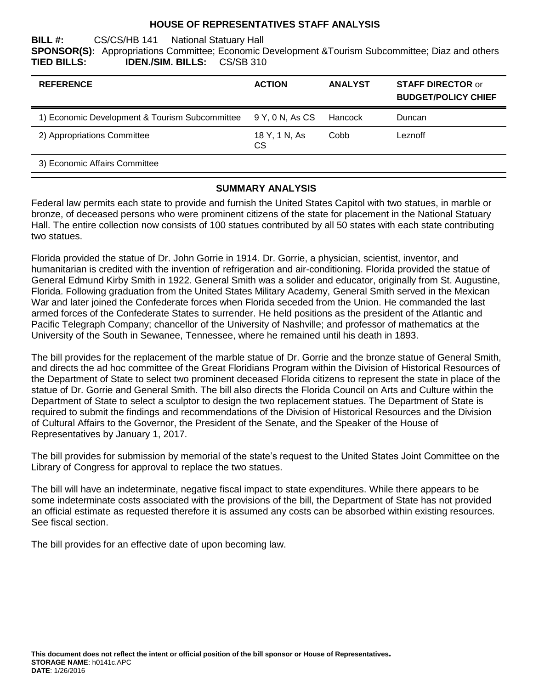#### **HOUSE OF REPRESENTATIVES STAFF ANALYSIS**

**BILL #:** CS/CS/HB 141 National Statuary Hall **SPONSOR(S):** Appropriations Committee; Economic Development &Tourism Subcommittee; Diaz and others **TIED BILLS: IDEN./SIM. BILLS:** CS/SB 310

| <b>REFERENCE</b>                                               | <b>ACTION</b>              | <b>ANALYST</b> | <b>STAFF DIRECTOR or</b><br><b>BUDGET/POLICY CHIEF</b> |
|----------------------------------------------------------------|----------------------------|----------------|--------------------------------------------------------|
| 1) Economic Development & Tourism Subcommittee 9 Y, 0 N, As CS |                            | Hancock        | Duncan                                                 |
| 2) Appropriations Committee                                    | 18 Y, 1 N, As<br><b>CS</b> | Cobb           | Leznoff                                                |
| 3) Economic Affairs Committee                                  |                            |                |                                                        |

#### **SUMMARY ANALYSIS**

Federal law permits each state to provide and furnish the United States Capitol with two statues, in marble or bronze, of deceased persons who were prominent citizens of the state for placement in the National Statuary Hall. The entire collection now consists of 100 statues contributed by all 50 states with each state contributing two statues.

Florida provided the statue of Dr. John Gorrie in 1914. Dr. Gorrie, a physician, scientist, inventor, and humanitarian is credited with the invention of refrigeration and air-conditioning. Florida provided the statue of General Edmund Kirby Smith in 1922. General Smith was a solider and educator, originally from St. Augustine, Florida. Following graduation from the United States Military Academy, General Smith served in the Mexican War and later joined the Confederate forces when Florida seceded from the Union. He commanded the last armed forces of the Confederate States to surrender. He held positions as the president of the Atlantic and Pacific Telegraph Company; chancellor of the University of Nashville; and professor of mathematics at the University of the South in Sewanee, Tennessee, where he remained until his death in 1893.

The bill provides for the replacement of the marble statue of Dr. Gorrie and the bronze statue of General Smith, and directs the ad hoc committee of the Great Floridians Program within the Division of Historical Resources of the Department of State to select two prominent deceased Florida citizens to represent the state in place of the statue of Dr. Gorrie and General Smith. The bill also directs the Florida Council on Arts and Culture within the Department of State to select a sculptor to design the two replacement statues. The Department of State is required to submit the findings and recommendations of the Division of Historical Resources and the Division of Cultural Affairs to the Governor, the President of the Senate, and the Speaker of the House of Representatives by January 1, 2017.

The bill provides for submission by memorial of the state's request to the United States Joint Committee on the Library of Congress for approval to replace the two statues.

The bill will have an indeterminate, negative fiscal impact to state expenditures. While there appears to be some indeterminate costs associated with the provisions of the bill, the Department of State has not provided an official estimate as requested therefore it is assumed any costs can be absorbed within existing resources. See fiscal section.

The bill provides for an effective date of upon becoming law.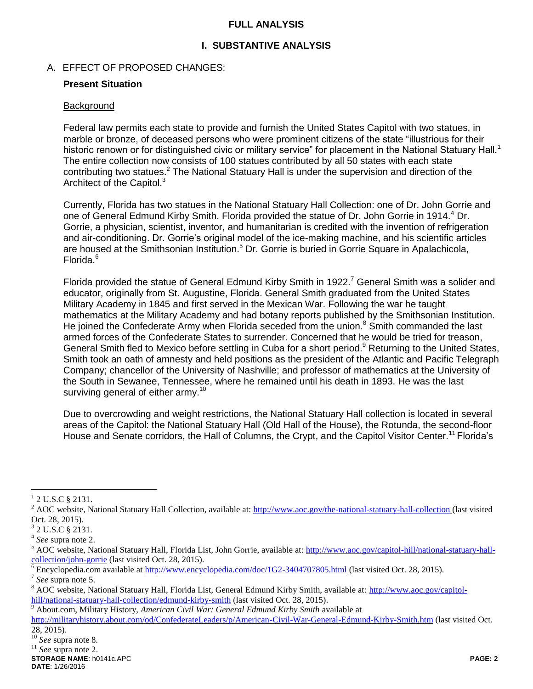#### **FULL ANALYSIS**

## **I. SUBSTANTIVE ANALYSIS**

### A. EFFECT OF PROPOSED CHANGES:

#### **Present Situation**

#### **Background**

Federal law permits each state to provide and furnish the United States Capitol with two statues, in marble or bronze, of deceased persons who were prominent citizens of the state "illustrious for their historic renown or for distinguished civic or military service" for placement in the National Statuary Hall.<sup>1</sup> The entire collection now consists of 100 statues contributed by all 50 states with each state contributing two statues.<sup>2</sup> The National Statuary Hall is under the supervision and direction of the Architect of the Capitol.<sup>3</sup>

Currently, Florida has two statues in the National Statuary Hall Collection: one of Dr. John Gorrie and one of General Edmund Kirby Smith. Florida provided the statue of Dr. John Gorrie in 1914.<sup>4</sup> Dr. Gorrie, a physician, scientist, inventor, and humanitarian is credited with the invention of refrigeration and air-conditioning. Dr. Gorrie's original model of the ice-making machine, and his scientific articles are housed at the Smithsonian Institution.<sup>5</sup> Dr. Gorrie is buried in Gorrie Square in Apalachicola, Florida.<sup>6</sup>

Florida provided the statue of General Edmund Kirby Smith in 1922.<sup>7</sup> General Smith was a solider and educator, originally from St. Augustine, Florida. General Smith graduated from the United States Military Academy in 1845 and first served in the Mexican War. Following the war he taught mathematics at the Military Academy and had botany reports published by the Smithsonian Institution. He joined the Confederate Army when Florida seceded from the union.<sup>8</sup> Smith commanded the last armed forces of the Confederate States to surrender. Concerned that he would be tried for treason, General Smith fled to Mexico before settling in Cuba for a short period.<sup>9</sup> Returning to the United States, Smith took an oath of amnesty and held positions as the president of the Atlantic and Pacific Telegraph Company; chancellor of the University of Nashville; and professor of mathematics at the University of the South in Sewanee, Tennessee, where he remained until his death in 1893. He was the last surviving general of either army.<sup>10</sup>

Due to overcrowding and weight restrictions, the National Statuary Hall collection is located in several areas of the Capitol: the National Statuary Hall (Old Hall of the House), the Rotunda, the second-floor House and Senate corridors, the Hall of Columns, the Crypt, and the Capitol Visitor Center.<sup>11</sup> Florida's

 $\overline{a}$ 

 $1$  2 U.S.C § 2131.

<sup>&</sup>lt;sup>2</sup> AOC website, National Statuary Hall Collection, available at:<http://www.aoc.gov/the-national-statuary-hall-collection> (last visited Oct. 28, 2015).

 $3$  2 U.S.C § 2131.

<sup>4</sup> *See* supra note 2.

<sup>&</sup>lt;sup>5</sup> AOC website, National Statuary Hall, Florida List, John Gorrie, available at: [http://www.aoc.gov/capitol-hill/national-statuary-hall](http://www.aoc.gov/capitol-hill/national-statuary-hall-collection/john-gorrie)[collection/john-gorrie](http://www.aoc.gov/capitol-hill/national-statuary-hall-collection/john-gorrie) (last visited Oct. 28, 2015).

<sup>6</sup> Encyclopedia.com available a[t http://www.encyclopedia.com/doc/1G2-3404707805.html](http://www.encyclopedia.com/doc/1G2-3404707805.html) (last visited Oct. 28, 2015).

<sup>7</sup> *See* supra note 5.

<sup>&</sup>lt;sup>8</sup> AOC website, National Statuary Hall, Florida List, General Edmund Kirby Smith, available at: [http://www.aoc.gov/capitol](http://www.aoc.gov/capitol-hill/national-statuary-hall-collection/edmund-kirby-smith)[hill/national-statuary-hall-collection/edmund-kirby-smith](http://www.aoc.gov/capitol-hill/national-statuary-hall-collection/edmund-kirby-smith) (last visited Oct. 28, 2015).

<sup>9</sup> About.com, Military History, *American Civil War: General Edmund Kirby Smith* available at

<http://militaryhistory.about.com/od/ConfederateLeaders/p/American-Civil-War-General-Edmund-Kirby-Smith.htm> (last visited Oct. 28, 2015).

<sup>10</sup> *See* supra note 8*.*

<sup>11</sup> *See* supra note 2.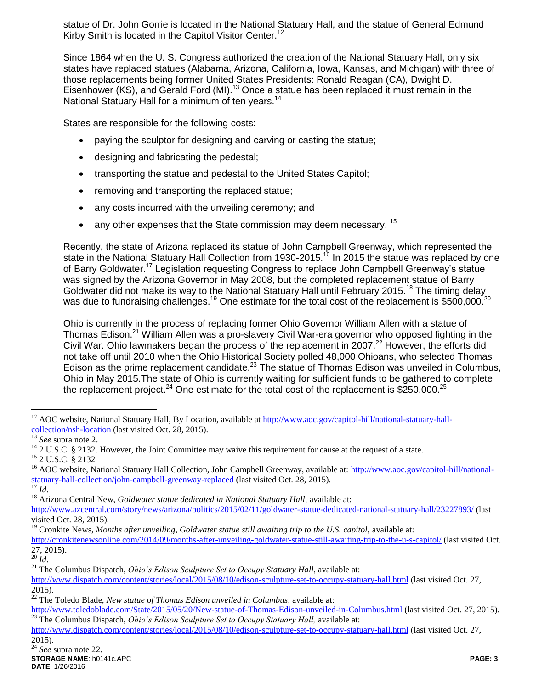statue of Dr. John Gorrie is located in the National Statuary Hall, and the statue of General Edmund Kirby Smith is located in the Capitol Visitor Center.<sup>12</sup>

Since 1864 when the U. S. Congress authorized the creation of the National Statuary Hall, only six states have replaced statues (Alabama, Arizona, California, Iowa, Kansas, and Michigan) with three of those replacements being former United States Presidents: Ronald Reagan (CA), Dwight D. Eisenhower (KS), and Gerald Ford (MI).<sup>13</sup> Once a statue has been replaced it must remain in the National Statuary Hall for a minimum of ten years.<sup>14</sup>

States are responsible for the following costs:

- paying the sculptor for designing and carving or casting the statue;
- designing and fabricating the pedestal;
- transporting the statue and pedestal to the United States Capitol;
- removing and transporting the replaced statue;
- any costs incurred with the unveiling ceremony; and
- $\bullet$  any other expenses that the State commission may deem necessary.  $^{15}$

Recently, the state of Arizona replaced its statue of John Campbell Greenway, which represented the state in the National Statuary Hall Collection from 1930-2015.<sup>16</sup> In 2015 the statue was replaced by one of Barry Goldwater.<sup>17</sup> Legislation requesting Congress to replace John Campbell Greenway's statue was signed by the Arizona Governor in May 2008, but the completed replacement statue of Barry Goldwater did not make its way to the National Statuary Hall until February 2015.<sup>18</sup> The timing delay was due to fundraising challenges.<sup>19</sup> One estimate for the total cost of the replacement is \$500,000.<sup>20</sup>

Ohio is currently in the process of replacing former Ohio Governor William Allen with a statue of Thomas Edison.<sup>21</sup> William Allen was a pro-slavery Civil War-era governor who opposed fighting in the Civil War. Ohio lawmakers began the process of the replacement in 2007.<sup>22</sup> However, the efforts did not take off until 2010 when the Ohio Historical Society polled 48,000 Ohioans, who selected Thomas Edison as the prime replacement candidate.<sup>23</sup> The statue of Thomas Edison was unveiled in Columbus, Ohio in May 2015.The state of Ohio is currently waiting for sufficient funds to be gathered to complete the replacement project.<sup>24</sup> One estimate for the total cost of the replacement is \$250,000.<sup>25</sup>

 $\overline{a}$ 

<sup>&</sup>lt;sup>12</sup> AOC website, National Statuary Hall, By Location, available at [http://www.aoc.gov/capitol-hill/national-statuary-hall](http://www.aoc.gov/capitol-hill/national-statuary-hall-collection/nsh-location)<u>[collection/nsh-location](http://www.aoc.gov/capitol-hill/national-statuary-hall-collection/nsh-location)</u> (last visited Oct. 28, 2015).

See supra note 2.

<sup>&</sup>lt;sup>14</sup> 2 U.S.C. § 2132. However, the Joint Committee may waive this requirement for cause at the request of a state.

<sup>15</sup> 2 U.S.C. § 2132

<sup>&</sup>lt;sup>16</sup> AOC website, National Statuary Hall Collection, John Campbell Greenway, available at: [http://www.aoc.gov/capitol-hill/national](http://www.aoc.gov/capitol-hill/national-statuary-hall-collection/john-campbell-greenway-replaced)[statuary-hall-collection/john-campbell-greenway-replaced](http://www.aoc.gov/capitol-hill/national-statuary-hall-collection/john-campbell-greenway-replaced) (last visited Oct. 28, 2015).

*Id.* 

<sup>&</sup>lt;sup>18</sup> Arizona Central New, *Goldwater statue dedicated in National Statuary Hall*, available at:

<http://www.azcentral.com/story/news/arizona/politics/2015/02/11/goldwater-statue-dedicated-national-statuary-hall/23227893/> (last visited Oct. 28, 2015).

<sup>&</sup>lt;sup>19</sup> Cronkite News, *Months after unveiling, Goldwater statue still awaiting trip to the U.S. capitol, available at:* 

<http://cronkitenewsonline.com/2014/09/months-after-unveiling-goldwater-statue-still-awaiting-trip-to-the-u-s-capitol/> (last visited Oct. 27, 2015).

 $\frac{20}{20}$  *Id.* 

<sup>&</sup>lt;sup>21</sup> The Columbus Dispatch, *Ohio's Edison Sculpture Set to Occupy Statuary Hall*, available at:

<http://www.dispatch.com/content/stories/local/2015/08/10/edison-sculpture-set-to-occupy-statuary-hall.html> (last visited Oct. 27, 2015).

<sup>22</sup> The Toledo Blade, *New statue of Thomas Edison unveiled in Columbus*, available at:

<http://www.toledoblade.com/State/2015/05/20/New-statue-of-Thomas-Edison-unveiled-in-Columbus.html> (last visited Oct. 27, 2015). <sup>23</sup> The Columbus Dispatch, *Ohio's Edison Sculpture Set to Occupy Statuary Hall,* available at:

<http://www.dispatch.com/content/stories/local/2015/08/10/edison-sculpture-set-to-occupy-statuary-hall.html> (last visited Oct. 27, 2015).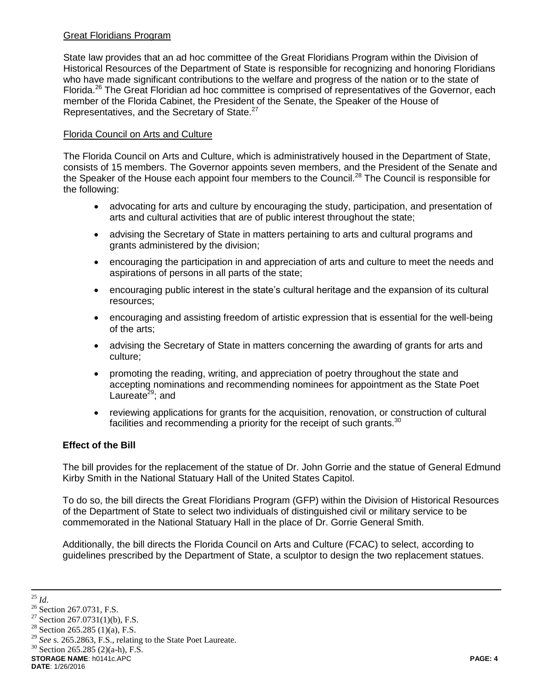### Great Floridians Program

State law provides that an ad hoc committee of the Great Floridians Program within the Division of Historical Resources of the Department of State is responsible for recognizing and honoring Floridians who have made significant contributions to the welfare and progress of the nation or to the state of Florida.<sup>26</sup> The Great Floridian ad hoc committee is comprised of representatives of the Governor, each member of the Florida Cabinet, the President of the Senate, the Speaker of the House of Representatives, and the Secretary of State.<sup>27</sup>

## Florida Council on Arts and Culture

The Florida Council on Arts and Culture, which is administratively housed in the Department of State, consists of 15 members. The Governor appoints seven members, and the President of the Senate and the Speaker of the House each appoint four members to the Council.<sup>28</sup> The Council is responsible for the following:

- advocating for arts and culture by encouraging the study, participation, and presentation of arts and cultural activities that are of public interest throughout the state;
- advising the Secretary of State in matters pertaining to arts and cultural programs and grants administered by the division;
- encouraging the participation in and appreciation of arts and culture to meet the needs and aspirations of persons in all parts of the state;
- encouraging public interest in the state's cultural heritage and the expansion of its cultural resources;
- encouraging and assisting freedom of artistic expression that is essential for the well-being of the arts;
- advising the Secretary of State in matters concerning the awarding of grants for arts and culture;
- promoting the reading, writing, and appreciation of poetry throughout the state and accepting nominations and recommending nominees for appointment as the State Poet Laureate $29$ ; and
- reviewing applications for grants for the acquisition, renovation, or construction of cultural facilities and recommending a priority for the receipt of such grants.  $30$

## **Effect of the Bill**

The bill provides for the replacement of the statue of Dr. John Gorrie and the statue of General Edmund Kirby Smith in the National Statuary Hall of the United States Capitol.

To do so, the bill directs the Great Floridians Program (GFP) within the Division of Historical Resources of the Department of State to select two individuals of distinguished civil or military service to be commemorated in the National Statuary Hall in the place of Dr. Gorrie General Smith.

Additionally, the bill directs the Florida Council on Arts and Culture (FCAC) to select, according to guidelines prescribed by the Department of State, a sculptor to design the two replacement statues.

 $\overline{a}$ 

**STORAGE NAME**: h0141c.APC **PAGE: 4 DATE**: 1/26/2016

<sup>25</sup> *Id*.

<sup>&</sup>lt;sup>26</sup> Section 267.0731, F.S.

<sup>&</sup>lt;sup>27</sup> Section 267.0731(1)(b), F.S.

<sup>&</sup>lt;sup>28</sup> Section 265.285 (1)(a), F.S.

<sup>29</sup> *See* s. 265.2863, F.S., relating to the State Poet Laureate.

 $30$  Section 265.285 (2)(a-h), F.S.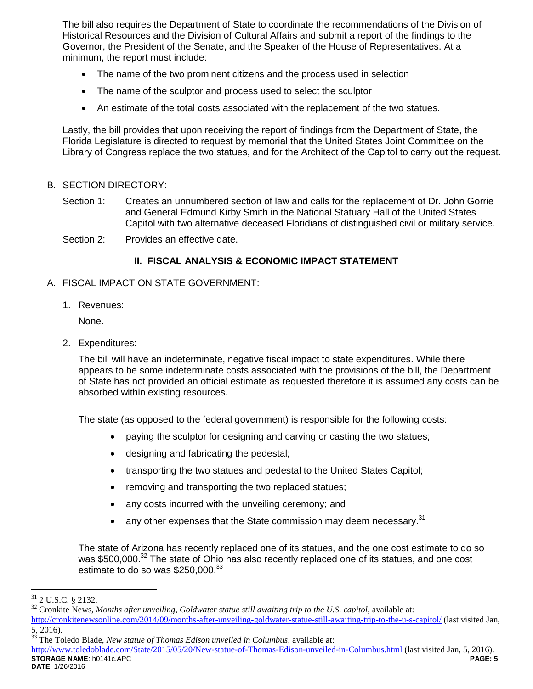The bill also requires the Department of State to coordinate the recommendations of the Division of Historical Resources and the Division of Cultural Affairs and submit a report of the findings to the Governor, the President of the Senate, and the Speaker of the House of Representatives. At a minimum, the report must include:

- The name of the two prominent citizens and the process used in selection
- The name of the sculptor and process used to select the sculptor
- An estimate of the total costs associated with the replacement of the two statues.

Lastly, the bill provides that upon receiving the report of findings from the Department of State, the Florida Legislature is directed to request by memorial that the United States Joint Committee on the Library of Congress replace the two statues, and for the Architect of the Capitol to carry out the request.

### B. SECTION DIRECTORY:

- Section 1: Creates an unnumbered section of law and calls for the replacement of Dr. John Gorrie and General Edmund Kirby Smith in the National Statuary Hall of the United States Capitol with two alternative deceased Floridians of distinguished civil or military service.
- Section 2: Provides an effective date.

## **II. FISCAL ANALYSIS & ECONOMIC IMPACT STATEMENT**

- A. FISCAL IMPACT ON STATE GOVERNMENT:
	- 1. Revenues:

None.

2. Expenditures:

The bill will have an indeterminate, negative fiscal impact to state expenditures. While there appears to be some indeterminate costs associated with the provisions of the bill, the Department of State has not provided an official estimate as requested therefore it is assumed any costs can be absorbed within existing resources.

The state (as opposed to the federal government) is responsible for the following costs:

- paying the sculptor for designing and carving or casting the two statues;
- designing and fabricating the pedestal;
- transporting the two statues and pedestal to the United States Capitol;
- removing and transporting the two replaced statues;
- any costs incurred with the unveiling ceremony; and
- $\bullet$  any other expenses that the State commission may deem necessary.<sup>31</sup>

The state of Arizona has recently replaced one of its statues, and the one cost estimate to do so was \$500,000.<sup>32</sup> The state of Ohio has also recently replaced one of its statues, and one cost estimate to do so was \$250,000.<sup>33</sup>

 $\overline{a}$ 

 $31$  2 U.S.C. § 2132.

<sup>&</sup>lt;sup>32</sup> Cronkite News, *Months after unveiling, Goldwater statue still awaiting trip to the U.S. capitol, available at:* <http://cronkitenewsonline.com/2014/09/months-after-unveiling-goldwater-statue-still-awaiting-trip-to-the-u-s-capitol/> (last visited Jan,  $\frac{5}{33}$ ,  $\frac{2016}{10}$ .

<sup>33</sup> The Toledo Blade, *New statue of Thomas Edison unveiled in Columbus*, available at:

**STORAGE NAME**: h0141c.APC **PAGE: 5 DATE**: 1/26/2016 <http://www.toledoblade.com/State/2015/05/20/New-statue-of-Thomas-Edison-unveiled-in-Columbus.html> (last visited Jan, 5, 2016).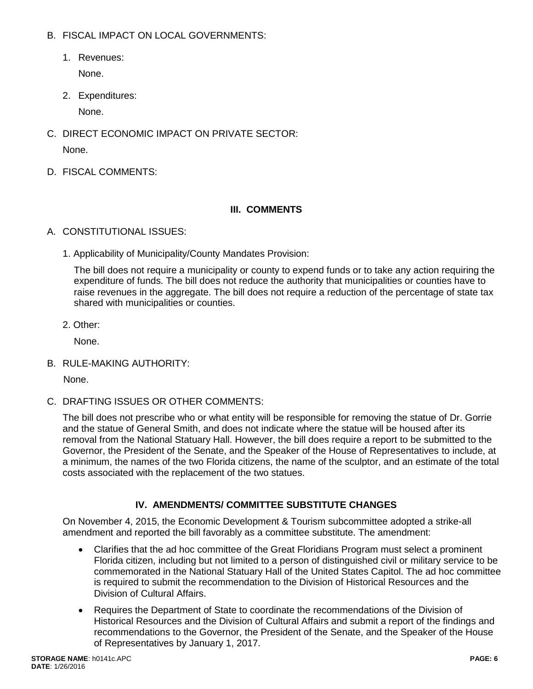- B. FISCAL IMPACT ON LOCAL GOVERNMENTS:
	- 1. Revenues:

None.

2. Expenditures:

None.

- C. DIRECT ECONOMIC IMPACT ON PRIVATE SECTOR: None.
- D. FISCAL COMMENTS:

## **III. COMMENTS**

- A. CONSTITUTIONAL ISSUES:
	- 1. Applicability of Municipality/County Mandates Provision:

The bill does not require a municipality or county to expend funds or to take any action requiring the expenditure of funds. The bill does not reduce the authority that municipalities or counties have to raise revenues in the aggregate. The bill does not require a reduction of the percentage of state tax shared with municipalities or counties.

2. Other:

None.

B. RULE-MAKING AUTHORITY:

None.

C. DRAFTING ISSUES OR OTHER COMMENTS:

The bill does not prescribe who or what entity will be responsible for removing the statue of Dr. Gorrie and the statue of General Smith, and does not indicate where the statue will be housed after its removal from the National Statuary Hall. However, the bill does require a report to be submitted to the Governor, the President of the Senate, and the Speaker of the House of Representatives to include, at a minimum, the names of the two Florida citizens, the name of the sculptor, and an estimate of the total costs associated with the replacement of the two statues.

# **IV. AMENDMENTS/ COMMITTEE SUBSTITUTE CHANGES**

On November 4, 2015, the Economic Development & Tourism subcommittee adopted a strike-all amendment and reported the bill favorably as a committee substitute. The amendment:

- Clarifies that the ad hoc committee of the Great Floridians Program must select a prominent Florida citizen, including but not limited to a person of distinguished civil or military service to be commemorated in the National Statuary Hall of the United States Capitol. The ad hoc committee is required to submit the recommendation to the Division of Historical Resources and the Division of Cultural Affairs.
- Requires the Department of State to coordinate the recommendations of the Division of Historical Resources and the Division of Cultural Affairs and submit a report of the findings and recommendations to the Governor, the President of the Senate, and the Speaker of the House of Representatives by January 1, 2017.